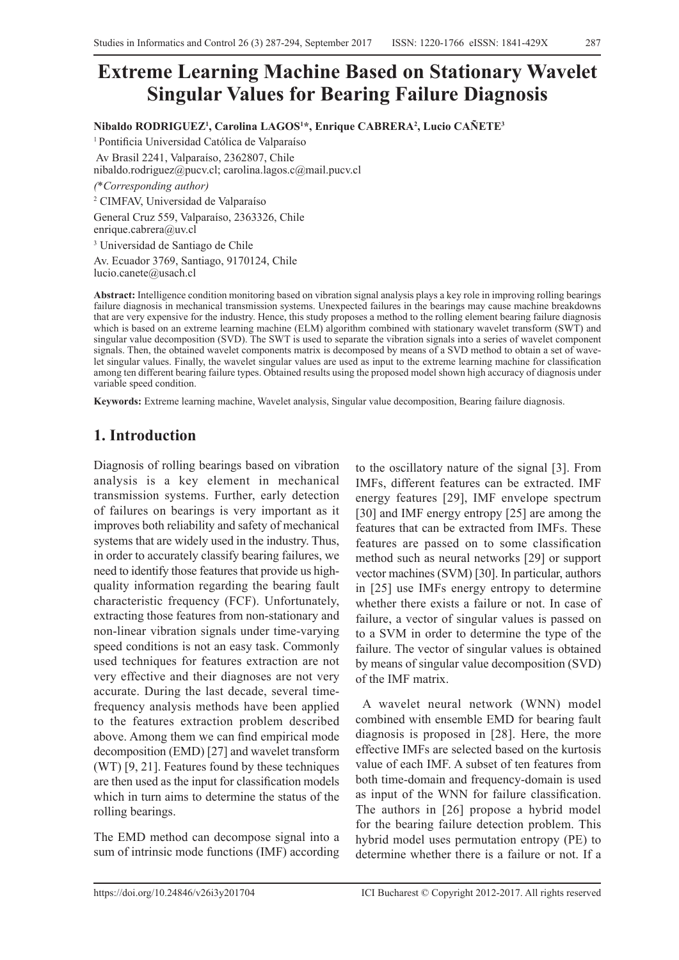# **Extreme Learning Machine Based on Stationary Wavelet Singular Values for Bearing Failure Diagnosis**

**Nibaldo RODRIGUEZ1 , Carolina LAGOS1 \*, Enrique CABRERA2 , Lucio CAÑETE3**

<sup>1</sup>Pontificia Universidad Católica de Valparaíso Av Brasil 2241, Valparaíso, 2362807, Chile nibaldo.rodriguez@pucv.cl; carolina.lagos.c@mail.pucv.cl

*(*\**Corresponding author)*

2 CIMFAV, Universidad de Valparaíso

General Cruz 559, Valparaíso, 2363326, Chile enrique.cabrera@uv.cl 3 Universidad de Santiago de Chile

Av. Ecuador 3769, Santiago, 9170124, Chile lucio.canete@usach.cl

**Abstract:** Intelligence condition monitoring based on vibration signal analysis plays a key role in improving rolling bearings failure diagnosis in mechanical transmission systems. Unexpected failures in the bearings may cause machine breakdowns that are very expensive for the industry. Hence, this study proposes a method to the rolling element bearing failure diagnosis which is based on an extreme learning machine (ELM) algorithm combined with stationary wavelet transform (SWT) and singular value decomposition (SVD). The SWT is used to separate the vibration signals into a series of wavelet component signals. Then, the obtained wavelet components matrix is decomposed by means of a SVD method to obtain a set of wavelet singular values. Finally, the wavelet singular values are used as input to the extreme learning machine for classification among ten different bearing failure types. Obtained results using the proposed model shown high accuracy of diagnosis under variable speed condition.

**Keywords:** Extreme learning machine, Wavelet analysis, Singular value decomposition, Bearing failure diagnosis.

# **1. Introduction**

Diagnosis of rolling bearings based on vibration analysis is a key element in mechanical transmission systems. Further, early detection of failures on bearings is very important as it improves both reliability and safety of mechanical systems that are widely used in the industry. Thus, in order to accurately classify bearing failures, we need to identify those features that provide us highquality information regarding the bearing fault characteristic frequency (FCF). Unfortunately, extracting those features from non-stationary and non-linear vibration signals under time-varying speed conditions is not an easy task. Commonly used techniques for features extraction are not very effective and their diagnoses are not very accurate. During the last decade, several timefrequency analysis methods have been applied to the features extraction problem described above. Among them we can find empirical mode decomposition (EMD) [27] and wavelet transform (WT) [9, 21]. Features found by these techniques are then used as the input for classification models which in turn aims to determine the status of the rolling bearings.

The EMD method can decompose signal into a sum of intrinsic mode functions (IMF) according to the oscillatory nature of the signal [3]. From IMFs, different features can be extracted. IMF energy features [29], IMF envelope spectrum [30] and IMF energy entropy [25] are among the features that can be extracted from IMFs. These features are passed on to some classification method such as neural networks [29] or support vector machines (SVM) [30]. In particular, authors in [25] use IMFs energy entropy to determine whether there exists a failure or not. In case of failure, a vector of singular values is passed on to a SVM in order to determine the type of the failure. The vector of singular values is obtained by means of singular value decomposition (SVD) of the IMF matrix.

 A wavelet neural network (WNN) model combined with ensemble EMD for bearing fault diagnosis is proposed in [28]. Here, the more effective IMFs are selected based on the kurtosis value of each IMF. A subset of ten features from both time-domain and frequency-domain is used as input of the WNN for failure classification. The authors in [26] propose a hybrid model for the bearing failure detection problem. This hybrid model uses permutation entropy (PE) to determine whether there is a failure or not. If a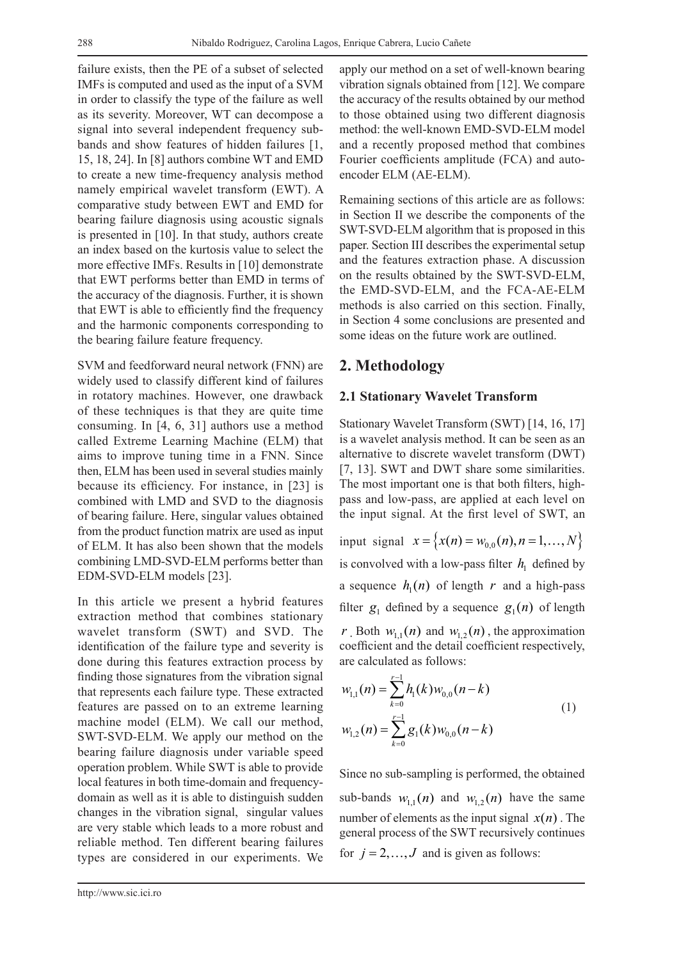failure exists, then the PE of a subset of selected IMFs is computed and used as the input of a SVM in order to classify the type of the failure as well as its severity. Moreover, WT can decompose a signal into several independent frequency subbands and show features of hidden failures [1, 15, 18, 24]. In [8] authors combine WT and EMD to create a new time-frequency analysis method namely empirical wavelet transform (EWT). A comparative study between EWT and EMD for bearing failure diagnosis using acoustic signals is presented in [10]. In that study, authors create an index based on the kurtosis value to select the more effective IMFs. Results in [10] demonstrate that EWT performs better than EMD in terms of the accuracy of the diagnosis. Further, it is shown that EWT is able to efficiently find the frequency and the harmonic components corresponding to the bearing failure feature frequency.

SVM and feedforward neural network (FNN) are widely used to classify different kind of failures in rotatory machines. However, one drawback of these techniques is that they are quite time consuming. In [4, 6, 31] authors use a method called Extreme Learning Machine (ELM) that aims to improve tuning time in a FNN. Since then, ELM has been used in several studies mainly because its efficiency. For instance, in [23] is combined with LMD and SVD to the diagnosis of bearing failure. Here, singular values obtained from the product function matrix are used as input of ELM. It has also been shown that the models combining LMD-SVD-ELM performs better than EDM-SVD-ELM models [23].

In this article we present a hybrid features extraction method that combines stationary wavelet transform (SWT) and SVD. The identification of the failure type and severity is done during this features extraction process by finding those signatures from the vibration signal that represents each failure type. These extracted features are passed on to an extreme learning machine model (ELM). We call our method, SWT-SVD-ELM. We apply our method on the bearing failure diagnosis under variable speed operation problem. While SWT is able to provide local features in both time-domain and frequencydomain as well as it is able to distinguish sudden changes in the vibration signal, singular values are very stable which leads to a more robust and reliable method. Ten different bearing failures types are considered in our experiments. We apply our method on a set of well-known bearing vibration signals obtained from [12]. We compare the accuracy of the results obtained by our method to those obtained using two different diagnosis method: the well-known EMD-SVD-ELM model and a recently proposed method that combines Fourier coefficients amplitude (FCA) and autoencoder ELM (AE-ELM).

Remaining sections of this article are as follows: in Section II we describe the components of the SWT-SVD-ELM algorithm that is proposed in this paper. Section III describes the experimental setup and the features extraction phase. A discussion on the results obtained by the SWT-SVD-ELM, the EMD-SVD-ELM, and the FCA-AE-ELM methods is also carried on this section. Finally, in Section 4 some conclusions are presented and some ideas on the future work are outlined.

# **2. Methodology**

### **2.1 Stationary Wavelet Transform**

Stationary Wavelet Transform (SWT) [14, 16, 17] is a wavelet analysis method. It can be seen as an alternative to discrete wavelet transform (DWT) [7, 13]. SWT and DWT share some similarities. The most important one is that both filters, highpass and low-pass, are applied at each level on the input signal. At the first level of SWT, an

input signal  $x = \{x(n) = w_{0,0}(n), n = 1, ..., N\}$ is convolved with a low-pass filter  $h_1$  defined by a sequence  $h_1(n)$  of length  $r$  and a high-pass filter  $g_1$  defined by a sequence  $g_1(n)$  of length *r* Both  $w_{1,1}(n)$  and  $w_{1,2}(n)$ , the approximation

coefficient and the detail coefficient respectively, are calculated as follows:

$$
w_{1,1}(n) = \sum_{k=0}^{r-1} h_1(k) w_{0,0}(n-k)
$$
  

$$
w_{1,2}(n) = \sum_{k=0}^{r-1} g_1(k) w_{0,0}(n-k)
$$
 (1)

Since no sub-sampling is performed, the obtained sub-bands  $w_{1,1}(n)$  and  $w_{1,2}(n)$  have the same number of elements as the input signal  $x(n)$ . The general process of the SWT recursively continues for  $j = 2, \ldots, J$  and is given as follows: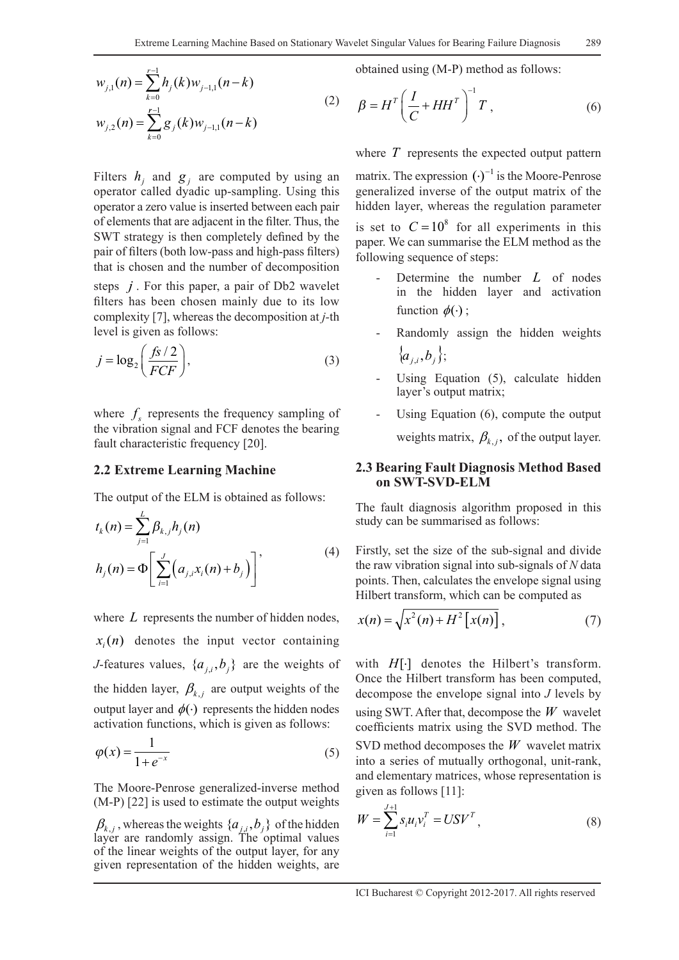$$
w_{j,1}(n) = \sum_{k=0}^{r-1} h_j(k) w_{j-1,1}(n-k)
$$
  

$$
w_{j,2}(n) = \sum_{k=0}^{r-1} g_j(k) w_{j-1,1}(n-k)
$$
 (2)

Filters  $h_i$  and  $g_i$  are computed by using an operator called dyadic up-sampling. Using this operator a zero value is inserted between each pair of elements that are adjacent in the filter. Thus, the SWT strategy is then completely defined by the pair of filters (both low-pass and high-pass filters) that is chosen and the number of decomposition

steps *j* . For this paper, a pair of Db2 wavelet filters has been chosen mainly due to its low complexity [7], whereas the decomposition at *j-*th level is given as follows:

$$
j = \log_2\left(\frac{fs/2}{FCF}\right),\tag{3}
$$

where  $f_s$  represents the frequency sampling of the vibration signal and FCF denotes the bearing fault characteristic frequency [20].

#### **2.2 Extreme Learning Machine**

The output of the ELM is obtained as follows:

$$
t_{k}(n) = \sum_{j=1}^{L} \beta_{k,j} h_{j}(n)
$$
  

$$
h_{j}(n) = \Phi \left[ \sum_{i=1}^{J} (a_{j,i} x_{i}(n) + b_{j}) \right]'
$$
 (4)

where *L* represents the number of hidden nodes,  $x_i(n)$  denotes the input vector containing *J*-features values,  $\{a_{i,j}, b_{j}\}$  are the weights of the hidden layer,  $\beta_{k,j}$  are output weights of the output layer and  $\phi(\cdot)$  represents the hidden nodes activation functions, which is given as follows:

$$
\varphi(x) = \frac{1}{1 + e^{-x}}\tag{5}
$$

The Moore-Penrose generalized-inverse method (M-P) [22] is used to estimate the output weights

 $\beta_{k,j}$ , whereas the weights  $\{a_{j,i}, b_j\}$  of the hidden layer are randomly assign. The optimal values of the linear weights of the output layer, for any given representation of the hidden weights, are

obtained using (M-P) method as follows:

$$
\beta = H^T \left( \frac{I}{C} + HH^T \right)^{-1} T , \qquad (6)
$$

where *T* represents the expected output pattern

matrix. The expression  $(\cdot)^{-1}$  is the Moore-Penrose generalized inverse of the output matrix of the hidden layer, whereas the regulation parameter is set to  $C = 10^8$  for all experiments in this paper. We can summarise the ELM method as the following sequence of steps:

- Determine the number *L* of nodes in the hidden layer and activation function  $\phi(\cdot)$ ;
- Randomly assign the hidden weights  ${a_i, b_i};$
- Using Equation (5), calculate hidden layer's output matrix;
- Using Equation (6), compute the output weights matrix,  $\beta_{k,i}$ , of the output layer.

#### **2.3 Bearing Fault Diagnosis Method Based on SWT-SVD-ELM**

The fault diagnosis algorithm proposed in this study can be summarised as follows:

Firstly, set the size of the sub-signal and divide the raw vibration signal into sub-signals of *N* data points. Then, calculates the envelope signal using Hilbert transform, which can be computed as

$$
x(n) = \sqrt{x^2(n) + H^2[x(n)],
$$
\n(7)

with *H*[⋅] denotes the Hilbert's transform. Once the Hilbert transform has been computed, decompose the envelope signal into *J* levels by using SWT. After that, decompose the *W* wavelet coefficients matrix using the SVD method. The SVD method decomposes the *W* wavelet matrix into a series of mutually orthogonal, unit-rank, and elementary matrices, whose representation is given as follows [11]:

$$
W = \sum_{i=1}^{J+1} s_i u_i v_i^T = USV^T,
$$
\n(8)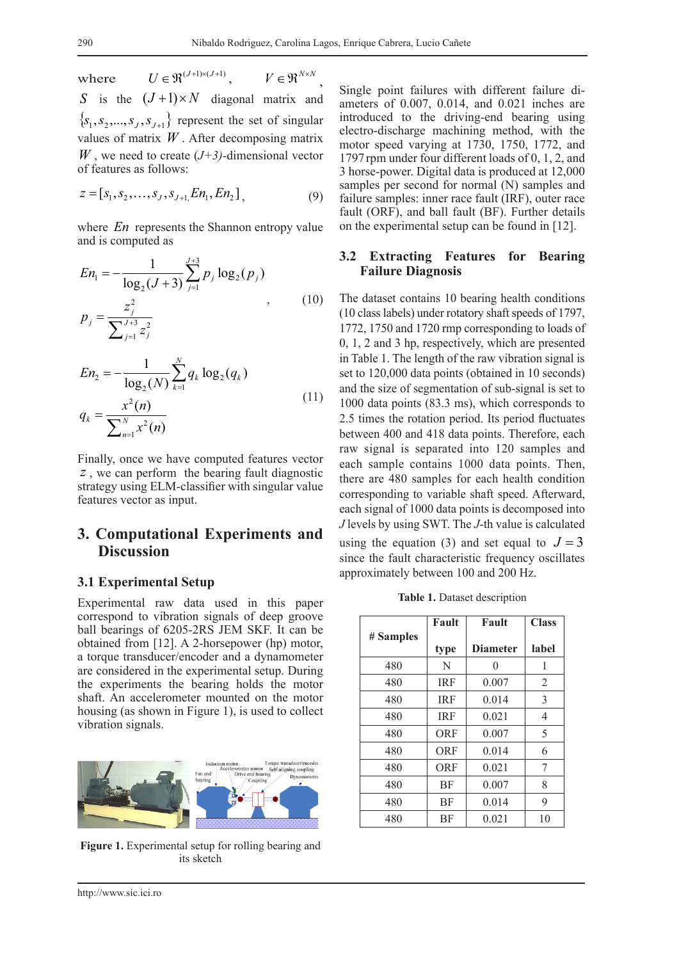where  $U \in \mathfrak{R}^{(J+1)\times (J+1)}$   $V \in \mathfrak{R}^{N\times N}$ *S* is the  $(J+1) \times N$  diagonal matrix and  ${s_1, s_2, ..., s_J, s_{J+1}}$  represent the set of singular values of matrix *W* . After decomposing matrix *W* , we need to create (*J+3)*-dimensional vector of features as follows:

$$
z = [s_1, s_2, \dots, s_J, s_{J+1}] E n_1, E n_2], \tag{9}
$$

where *En* represents the Shannon entropy value and is computed as

$$
En_1 = -\frac{1}{\log_2(J+3)} \sum_{j=1}^{J+3} p_j \log_2(p_j)
$$
  

$$
p_j = \frac{z_j^2}{\sum_{j=1}^{J+3} z_j^2}
$$
 (10)

$$
En_2 = -\frac{1}{\log_2(N)} \sum_{k=1}^{N} q_k \log_2(q_k)
$$
  

$$
q_k = \frac{x^2(n)}{\sum_{n=1}^{N} x^2(n)}
$$
 (11)

Finally, once we have computed features vector *z* , we can perform the bearing fault diagnostic strategy using ELM-classifier with singular value features vector as input.

### **3. Computational Experiments and Discussion**

#### **3.1 Experimental Setup**

Experimental raw data used in this paper correspond to vibration signals of deep groove ball bearings of 6205-2RS JEM SKF. It can be obtained from [12]. A 2-horsepower (hp) motor, a torque transducer/encoder and a dynamometer are considered in the experimental setup. During the experiments the bearing holds the motor shaft. An accelerometer mounted on the motor housing (as shown in Figure 1), is used to collect vibration signals.



**Figure 1.** Experimental setup for rolling bearing and its sketch

Single point failures with different failure diameters of 0.007, 0.014, and 0.021 inches are introduced to the driving-end bearing using electro-discharge machining method, with the motor speed varying at 1730, 1750, 1772, and 1797 rpm under four different loads of 0, 1, 2, and 3 horse-power. Digital data is produced at 12,000 samples per second for normal (N) samples and failure samples: inner race fault (IRF), outer race fault (ORF), and ball fault (BF). Further details on the experimental setup can be found in [12].

#### **3.2 Extracting Features for Bearing Failure Diagnosis**

The dataset contains 10 bearing health conditions (10 class labels) under rotatory shaft speeds of 1797, 1772, 1750 and 1720 rmp corresponding to loads of 0, 1, 2 and 3 hp, respectively, which are presented in Table 1. The length of the raw vibration signal is set to 120,000 data points (obtained in 10 seconds) and the size of segmentation of sub-signal is set to 1000 data points (83.3 ms), which corresponds to 2.5 times the rotation period. Its period fluctuates between 400 and 418 data points. Therefore, each raw signal is separated into 120 samples and each sample contains 1000 data points. Then, there are 480 samples for each health condition corresponding to variable shaft speed. Afterward, each signal of 1000 data points is decomposed into *J* levels by using SWT. The *J*-th value is calculated using the equation (3) and set equal to  $J = 3$ 

**Table 1.** Dataset description

since the fault characteristic frequency oscillates

approximately between 100 and 200 Hz.

|           | Fault      | Fault           | <b>Class</b> |
|-----------|------------|-----------------|--------------|
| # Samples | type       | <b>Diameter</b> | label        |
| 480       | N          | 0               | 1            |
| 480       | <b>IRF</b> | 0.007           | 2            |
| 480       | <b>IRF</b> | 0.014           | 3            |
| 480       | <b>IRF</b> | 0.021           | 4            |
| 480       | ORF        | 0.007           | 5            |
| 480       | ORF        | 0.014           | 6            |
| 480       | ORF        | 0.021           | 7            |
| 480       | BF         | 0.007           | 8            |
| 480       | BF         | 0.014           | 9            |
| 480       | BF         | 0.021           | 10           |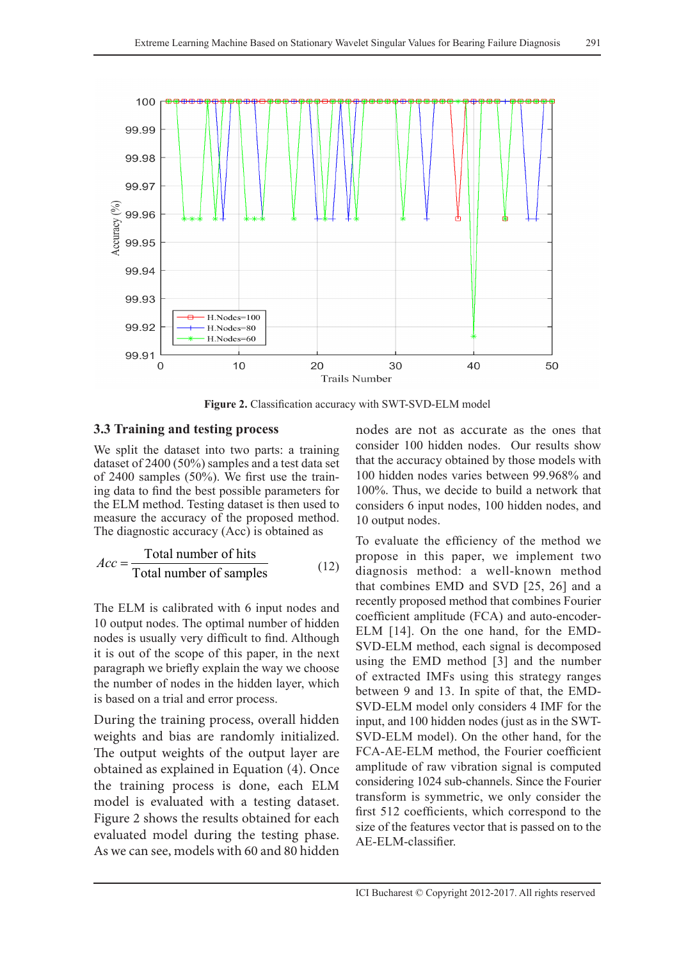

**Figure 2.** Classification accuracy with SWT-SVD-ELM model

#### **3.3 Training and testing process**

We split the dataset into two parts: a training dataset of 2400 (50%) samples and a test data set of 2400 samples (50%). We first use the training data to find the best possible parameters for the ELM method. Testing dataset is then used to measure the accuracy of the proposed method. The diagnostic accuracy (Acc) is obtained as

$$
Acc = \frac{\text{Total number of hits}}{\text{Total number of samples}} \tag{12}
$$

The ELM is calibrated with 6 input nodes and 10 output nodes. The optimal number of hidden nodes is usually very difficult to find. Although it is out of the scope of this paper, in the next paragraph we briefly explain the way we choose the number of nodes in the hidden layer, which is based on a trial and error process.

During the training process, overall hidden weights and bias are randomly initialized. The output weights of the output layer are obtained as explained in Equation (4). Once the training process is done, each ELM model is evaluated with a testing dataset. Figure 2 shows the results obtained for each evaluated model during the testing phase. As we can see, models with 60 and 80 hidden

nodes are not as accurate as the ones that consider 100 hidden nodes. Our results show that the accuracy obtained by those models with 100 hidden nodes varies between 99.968% and 100%. Thus, we decide to build a network that considers 6 input nodes, 100 hidden nodes, and 10 output nodes.

To evaluate the efficiency of the method we propose in this paper, we implement two diagnosis method: a well-known method that combines EMD and SVD [25, 26] and a recently proposed method that combines Fourier coefficient amplitude (FCA) and auto-encoder-ELM [14]. On the one hand, for the EMD-SVD-ELM method, each signal is decomposed using the EMD method [3] and the number of extracted IMFs using this strategy ranges between 9 and 13. In spite of that, the EMD-SVD-ELM model only considers 4 IMF for the input, and 100 hidden nodes (just as in the SWT-SVD-ELM model). On the other hand, for the FCA-AE-ELM method, the Fourier coefficient amplitude of raw vibration signal is computed considering 1024 sub-channels. Since the Fourier transform is symmetric, we only consider the first 512 coefficients, which correspond to the size of the features vector that is passed on to the AE-ELM-classifier.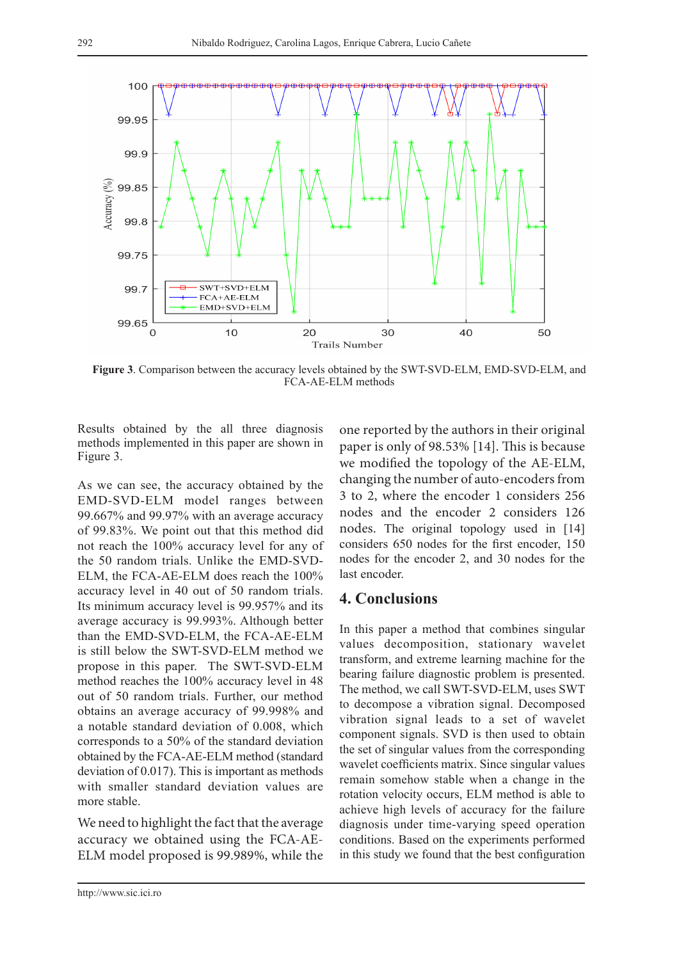

**Figure 3**. Comparison between the accuracy levels obtained by the SWT-SVD-ELM, EMD-SVD-ELM, and FCA-AE-ELM methods

Results obtained by the all three diagnosis methods implemented in this paper are shown in Figure 3.

As we can see, the accuracy obtained by the EMD-SVD-ELM model ranges between 99.667% and 99.97% with an average accuracy of 99.83%. We point out that this method did not reach the 100% accuracy level for any of the 50 random trials. Unlike the EMD-SVD-ELM, the FCA-AE-ELM does reach the 100% accuracy level in 40 out of 50 random trials. Its minimum accuracy level is 99.957% and its average accuracy is 99.993%. Although better than the EMD-SVD-ELM, the FCA-AE-ELM is still below the SWT-SVD-ELM method we propose in this paper. The SWT-SVD-ELM method reaches the 100% accuracy level in 48 out of 50 random trials. Further, our method obtains an average accuracy of 99.998% and a notable standard deviation of 0.008, which corresponds to a 50% of the standard deviation obtained by the FCA-AE-ELM method (standard deviation of 0.017). This is important as methods with smaller standard deviation values are more stable.

We need to highlight the fact that the average accuracy we obtained using the FCA-AE-ELM model proposed is 99.989%, while the

one reported by the authors in their original paper is only of 98.53% [14]. This is because we modified the topology of the AE-ELM, changing the number of auto-encoders from 3 to 2, where the encoder 1 considers 256 nodes and the encoder 2 considers 126 nodes. The original topology used in [14] considers 650 nodes for the first encoder, 150 nodes for the encoder 2, and 30 nodes for the last encoder.

### **4. Conclusions**

In this paper a method that combines singular values decomposition, stationary wavelet transform, and extreme learning machine for the bearing failure diagnostic problem is presented. The method, we call SWT-SVD-ELM, uses SWT to decompose a vibration signal. Decomposed vibration signal leads to a set of wavelet component signals. SVD is then used to obtain the set of singular values from the corresponding wavelet coefficients matrix. Since singular values remain somehow stable when a change in the rotation velocity occurs, ELM method is able to achieve high levels of accuracy for the failure diagnosis under time-varying speed operation conditions. Based on the experiments performed in this study we found that the best configuration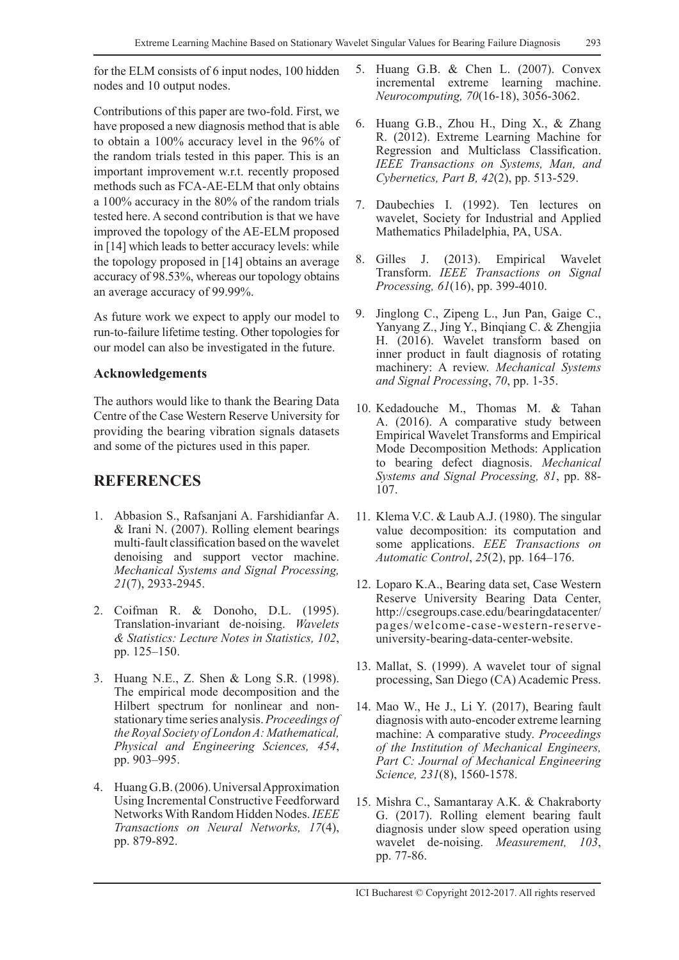for the ELM consists of 6 input nodes, 100 hidden nodes and 10 output nodes.

Contributions of this paper are two-fold. First, we have proposed a new diagnosis method that is able to obtain a 100% accuracy level in the 96% of the random trials tested in this paper. This is an important improvement w.r.t. recently proposed methods such as FCA-AE-ELM that only obtains a 100% accuracy in the 80% of the random trials tested here. A second contribution is that we have improved the topology of the AE-ELM proposed in [14] which leads to better accuracy levels: while the topology proposed in [14] obtains an average accuracy of 98.53%, whereas our topology obtains an average accuracy of 99.99%.

As future work we expect to apply our model to run-to-failure lifetime testing. Other topologies for our model can also be investigated in the future.

#### **Acknowledgements**

The authors would like to thank the Bearing Data Centre of the Case Western Reserve University for providing the bearing vibration signals datasets and some of the pictures used in this paper.

## **REFERENCES**

- 1. Abbasion S., Rafsanjani A. Farshidianfar A. & Irani N. (2007). Rolling element bearings multi-fault classification based on the wavelet denoising and support vector machine. *Mechanical Systems and Signal Processing, 21*(7), 2933-2945.
- 2. Coifman R. & Donoho, D.L. (1995). Translation-invariant de-noising. *Wavelets & Statistics: Lecture Notes in Statistics, 102*, pp. 125–150.
- 3. Huang N.E., Z. Shen & Long S.R. (1998). The empirical mode decomposition and the Hilbert spectrum for nonlinear and nonstationary time series analysis. *Proceedings of the Royal Society of London A: Mathematical, Physical and Engineering Sciences, 454*, pp. 903–995.
- 4. Huang G.B. (2006). Universal Approximation Using Incremental Constructive Feedforward Networks With Random Hidden Nodes. *IEEE Transactions on Neural Networks, 17*(4), pp. 879-892.
- 5. Huang G.B. & Chen L. (2007). Convex incremental extreme learning machine. *Neurocomputing, 70*(16-18), 3056-3062.
- 6. Huang G.B., Zhou H., Ding X., & Zhang R. (2012). Extreme Learning Machine for Regression and Multiclass Classification. *IEEE Transactions on Systems, Man, and Cybernetics, Part B, 42*(2), pp. 513-529.
- 7. Daubechies I. (1992). Ten lectures on wavelet, Society for Industrial and Applied Mathematics Philadelphia, PA, USA.
- 8. Gilles J. (2013). Empirical Wavelet Transform. *IEEE Transactions on Signal Processing, 61*(16), pp. 399-4010.
- 9. Jinglong C., Zipeng L., Jun Pan, Gaige C., Yanyang Z., Jing Y., Binqiang C. & Zhengjia H. (2016). Wavelet transform based on inner product in fault diagnosis of rotating machinery: A review. *Mechanical Systems and Signal Processing*, *70*, pp. 1-35.
- 10. Kedadouche M., Thomas M. & Tahan A. (2016). A comparative study between Empirical Wavelet Transforms and Empirical Mode Decomposition Methods: Application to bearing defect diagnosis. *Mechanical Systems and Signal Processing, 81*, pp. 88- 107.
- 11. Klema V.C. & Laub A.J. (1980). The singular value decomposition: its computation and some applications. *EEE Transactions on Automatic Control*, *25*(2), pp. 164–176.
- 12. Loparo K.A., Bearing data set, Case Western Reserve University Bearing Data Center, http://csegroups.case.edu/bearingdatacenter/ pages/welcome-case-western-reserveuniversity-bearing-data-center-website.
- 13. Mallat, S. (1999). A wavelet tour of signal processing, San Diego (CA) Academic Press.
- 14. Mao W., He J., Li Y. (2017), Bearing fault diagnosis with auto-encoder extreme learning machine: A comparative study. *Proceedings of the Institution of Mechanical Engineers, Part C: Journal of Mechanical Engineering Science, 231*(8), 1560-1578.
- 15. Mishra C., Samantaray A.K. & Chakraborty G. (2017). Rolling element bearing fault diagnosis under slow speed operation using wavelet de-noising. *Measurement, 103*, pp. 77-86.